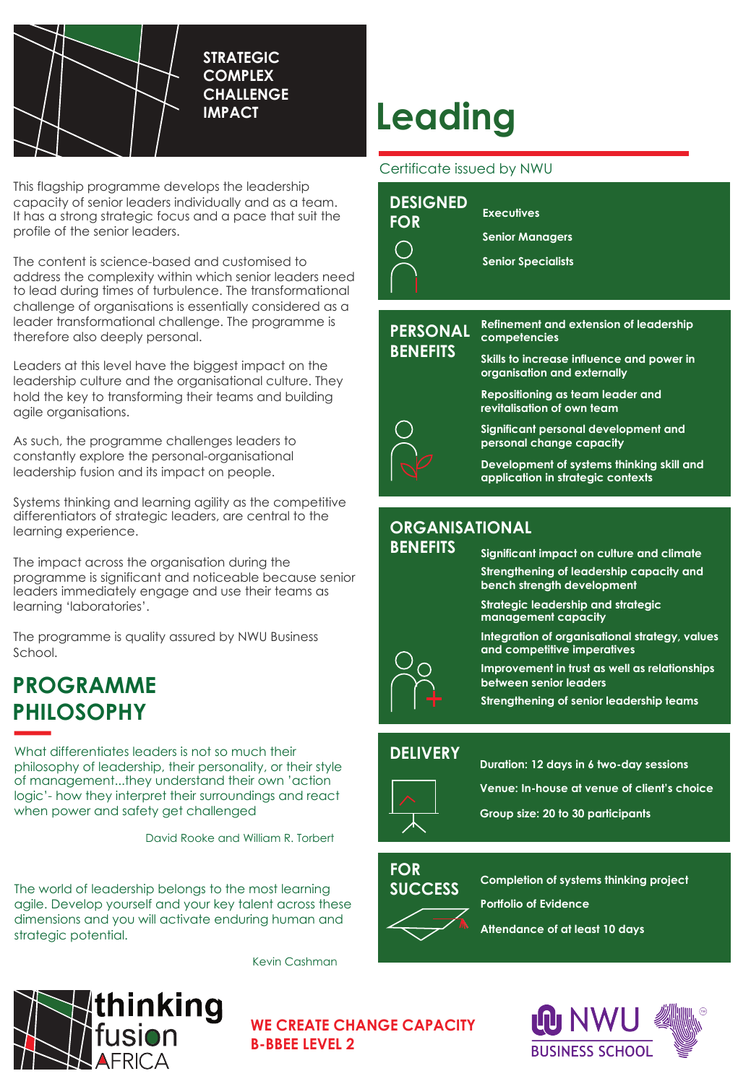

**STRATEGIC COMPLEX CHALLENGE IMPACT**

This flagship programme develops the leadership capacity of senior leaders individually and as a team. It has a strong strategic focus and a pace that suit the profile of the senior leaders.

The content is science-based and customised to address the complexity within which senior leaders need to lead during times of turbulence. The transformational challenge of organisations is essentially considered as a leader transformational challenge. The programme is therefore also deeply personal.

Leaders at this level have the biggest impact on the leadership culture and the organisational culture. They hold the key to transforming their teams and building agile organisations.

As such, the programme challenges leaders to constantly explore the personal-organisational leadership fusion and its impact on people.

Systems thinking and learning agility as the competitive differentiators of strategic leaders, are central to the learning experience.

The impact across the organisation during the programme is significant and noticeable because senior leaders immediately engage and use their teams as learning 'laboratories'.

The programme is quality assured by NWU Business School.

## **PROGRAMME PHILOSOPHY**

What differentiates leaders is not so much their philosophy of leadership, their personality, or their style of management...they understand their own 'action logic'- how they interpret their surroundings and react when power and safety get challenged

David Rooke and William R. Torbert

The world of leadership belongs to the most learning agile. Develop yourself and your key talent across these dimensions and you will activate enduring human and strategic potential.

Kevin Cashman



# **Leading**

#### Certificate issued by NWU

| <b>DESIGNED</b><br><b>FOR</b>      | <b>Executives</b><br><b>Senior Managers</b><br><b>Senior Specialists</b>                                   |
|------------------------------------|------------------------------------------------------------------------------------------------------------|
| <b>PERSONAL</b><br><b>BENEFITS</b> | <b>Refinement and extension of leadership</b><br>competencies<br>Skills to increase influence and power in |
|                                    | organisation and externally<br>Repositioning as team leader and<br>revitalisation of own team              |
|                                    | Significant personal development and<br>personal change capacity                                           |
|                                    | Development of systems thinking skill and<br>application in strategic contexts                             |

### **ORGANISATIONAL**

#### **BENEFITS**

## **Significant impact on culture and climate**

**Strengthening of leadership capacity and bench strength development**

**Strategic leadership and strategic management capacity**

**Integration of organisational strategy, values and competitive imperatives** 

**Improvement in trust as well as relationships between senior leaders**

**Strengthening of senior leadership teams**

#### **DELIVERY**



**Duration: 12 days in 6 two-day sessions**

**Venue: In-house at venue of client's choice**

**Group size: 20 to 30 participants**

#### **FOR SUCCESS**

**Completion of systems thinking project**

**Portfolio of Evidence**

**Attendance of at least 10 days**



**WE CREATE CHANGE CAPACITY B-BBEE LEVEL 2**